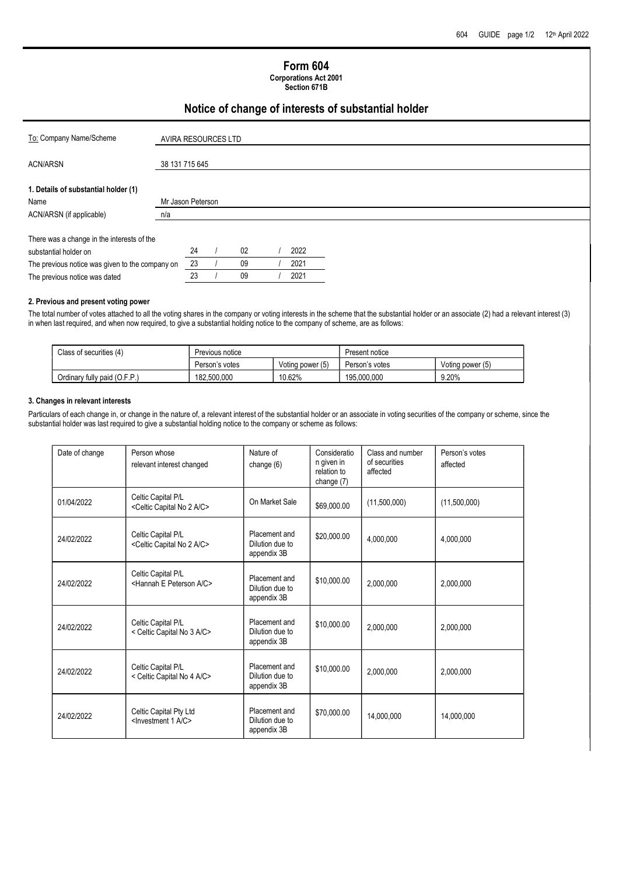## Form 604

Corporations Act 2001 Section 671B

## Notice of change of interests of substantial holder

| To: Company Name/Scheme                         | AVIRA RESOURCES LTD |    |    |      |  |  |  |  |
|-------------------------------------------------|---------------------|----|----|------|--|--|--|--|
| <b>ACN/ARSN</b>                                 | 38 131 715 645      |    |    |      |  |  |  |  |
| 1. Details of substantial holder (1)            |                     |    |    |      |  |  |  |  |
| Name                                            | Mr Jason Peterson   |    |    |      |  |  |  |  |
| ACN/ARSN (if applicable)                        | n/a                 |    |    |      |  |  |  |  |
|                                                 |                     |    |    |      |  |  |  |  |
| There was a change in the interests of the      |                     |    |    |      |  |  |  |  |
| substantial holder on                           |                     | 24 | 02 | 2022 |  |  |  |  |
| The previous notice was given to the company on |                     | 23 | 09 | 2021 |  |  |  |  |
| The previous notice was dated                   |                     | 23 | 09 | 2021 |  |  |  |  |

#### 2. Previous and present voting power

The total number of votes attached to all the voting shares in the company or voting interests in the scheme that the substantial holder or an associate (2) had a relevant interest (3) in when last required, and when now required, to give a substantial holding notice to the company of scheme, are as follows:

| Class of securities (4)      | Previous notice |                  | Present notice |                  |  |
|------------------------------|-----------------|------------------|----------------|------------------|--|
|                              | Person's votes  | Voting power (5) | Person's votes | Voting power (5) |  |
| Ordinary fully paid (O.F.P.) | 182.500.000     | 10.62%           | 195.000.000    | 9.20%            |  |

#### 3. Changes in relevant interests

Particulars of each change in, or change in the nature of, a relevant interest of the substantial holder or an associate in voting securities of the company or scheme, since the substantial holder was last required to give a substantial holding notice to the company or scheme as follows:

| Date of change | Person whose<br>relevant interest changed                               | Nature of<br>change $(6)$                       | Consideratio<br>n given in<br>relation to<br>change (7) | Class and number<br>of securities<br>affected | Person's votes<br>affected |
|----------------|-------------------------------------------------------------------------|-------------------------------------------------|---------------------------------------------------------|-----------------------------------------------|----------------------------|
| 01/04/2022     | Celtic Capital P/L<br><celtic 2="" a="" c="" capital="" no=""></celtic> | On Market Sale                                  | \$69,000.00                                             | (11,500,000)                                  | (11,500,000)               |
| 24/02/2022     | Celtic Capital P/L<br><celtic 2="" a="" c="" capital="" no=""></celtic> | Placement and<br>Dilution due to<br>appendix 3B | \$20,000.00                                             | 4,000,000                                     | 4,000,000                  |
| 24/02/2022     | Celtic Capital P/L<br><hannah a="" c="" e="" peterson=""></hannah>      | Placement and<br>Dilution due to<br>appendix 3B | \$10,000.00                                             | 2,000,000                                     | 2,000,000                  |
| 24/02/2022     | Celtic Capital P/L<br>< Celtic Capital No 3 A/C>                        | Placement and<br>Dilution due to<br>appendix 3B | \$10,000.00                                             | 2,000,000                                     | 2,000,000                  |
| 24/02/2022     | Celtic Capital P/L<br>< Celtic Capital No 4 A/C>                        | Placement and<br>Dilution due to<br>appendix 3B | \$10,000.00                                             | 2,000,000                                     | 2,000,000                  |
| 24/02/2022     | Celtic Capital Pty Ltd<br><investment 1="" a="" c=""></investment>      | Placement and<br>Dilution due to<br>appendix 3B | \$70,000.00                                             | 14,000,000                                    | 14,000,000                 |